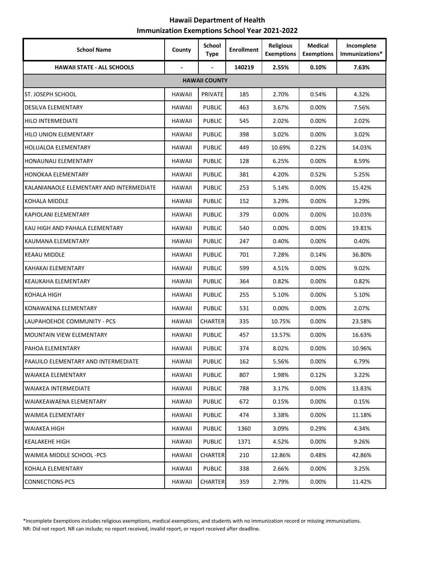## **Hawaii Department of Health Immunization Exemptions School Year 2021-2022**

| <b>School Name</b>                       | County         | <b>School</b><br>Type | <b>Enrollment</b> | <b>Religious</b><br><b>Exemptions</b> | <b>Medical</b><br><b>Exemptions</b> | Incomplete<br>Immunizations* |
|------------------------------------------|----------------|-----------------------|-------------------|---------------------------------------|-------------------------------------|------------------------------|
| <b>HAWAII STATE - ALL SCHOOLS</b>        | $\blacksquare$ |                       | 140219            | 2.55%                                 | 0.10%                               | 7.63%                        |
|                                          |                | <b>HAWAII COUNTY</b>  |                   |                                       |                                     |                              |
| ST. JOSEPH SCHOOL                        | <b>HAWAII</b>  | PRIVATE               | 185               | 2.70%                                 | 0.54%                               | 4.32%                        |
| <b>DESILVA ELEMENTARY</b>                | <b>HAWAII</b>  | <b>PUBLIC</b>         | 463               | 3.67%                                 | 0.00%                               | 7.56%                        |
| <b>HILO INTERMEDIATE</b>                 | <b>HAWAII</b>  | <b>PUBLIC</b>         | 545               | 2.02%                                 | 0.00%                               | 2.02%                        |
| <b>HILO UNION ELEMENTARY</b>             | HAWAII         | <b>PUBLIC</b>         | 398               | 3.02%                                 | 0.00%                               | 3.02%                        |
| <b>HOLUALOA ELEMENTARY</b>               | <b>HAWAII</b>  | <b>PUBLIC</b>         | 449               | 10.69%                                | 0.22%                               | 14.03%                       |
| HONAUNAU ELEMENTARY                      | HAWAII         | <b>PUBLIC</b>         | 128               | 6.25%                                 | 0.00%                               | 8.59%                        |
| HONOKAA ELEMENTARY                       | <b>HAWAII</b>  | <b>PUBLIC</b>         | 381               | 4.20%                                 | 0.52%                               | 5.25%                        |
| KALANIANAOLE ELEMENTARY AND INTERMEDIATE | <b>HAWAII</b>  | <b>PUBLIC</b>         | 253               | 5.14%                                 | 0.00%                               | 15.42%                       |
| <b>KOHALA MIDDLE</b>                     | <b>HAWAII</b>  | <b>PUBLIC</b>         | 152               | 3.29%                                 | 0.00%                               | 3.29%                        |
| KAPIOLANI ELEMENTARY                     | <b>HAWAII</b>  | <b>PUBLIC</b>         | 379               | 0.00%                                 | 0.00%                               | 10.03%                       |
| KAU HIGH AND PAHALA ELEMENTARY           | HAWAII         | <b>PUBLIC</b>         | 540               | 0.00%                                 | 0.00%                               | 19.81%                       |
| KAUMANA ELEMENTARY                       | <b>HAWAII</b>  | <b>PUBLIC</b>         | 247               | 0.40%                                 | 0.00%                               | 0.40%                        |
| <b>KEAAU MIDDLE</b>                      | <b>HAWAII</b>  | <b>PUBLIC</b>         | 701               | 7.28%                                 | 0.14%                               | 36.80%                       |
| KAHAKAI ELEMENTARY                       | <b>HAWAII</b>  | <b>PUBLIC</b>         | 599               | 4.51%                                 | 0.00%                               | 9.02%                        |
| <b>KEAUKAHA ELEMENTARY</b>               | <b>HAWAII</b>  | <b>PUBLIC</b>         | 364               | 0.82%                                 | $0.00\%$                            | 0.82%                        |
| KOHALA HIGH                              | <b>HAWAII</b>  | <b>PUBLIC</b>         | 255               | 5.10%                                 | 0.00%                               | 5.10%                        |
| KONAWAENA ELEMENTARY                     | <b>HAWAII</b>  | <b>PUBLIC</b>         | 531               | 0.00%                                 | 0.00%                               | 2.07%                        |
| LAUPAHOEHOE COMMUNITY - PCS              | <b>HAWAII</b>  | <b>CHARTER</b>        | 335               | 10.75%                                | 0.00%                               | 23.58%                       |
| <b>MOUNTAIN VIEW ELEMENTARY</b>          | <b>HAWAII</b>  | <b>PUBLIC</b>         | 457               | 13.57%                                | 0.00%                               | 16.63%                       |
| PAHOA ELEMENTARY                         | HAWAII         | <b>PUBLIC</b>         | 374               | 8.02%                                 | 0.00%                               | 10.96%                       |
| PAAUILO ELEMENTARY AND INTERMEDIATE      | <b>HAWAII</b>  | <b>PUBLIC</b>         | 162               | 5.56%                                 | 0.00%                               | 6.79%                        |
| WAIAKEA ELEMENTARY                       | <b>HAWAII</b>  | <b>PUBLIC</b>         | 807               | 1.98%                                 | 0.12%                               | 3.22%                        |
| WAIAKEA INTERMEDIATE                     | <b>HAWAII</b>  | <b>PUBLIC</b>         | 788               | 3.17%                                 | 0.00%                               | 13.83%                       |
| WAIAKEAWAENA ELEMENTARY                  | HAWAII         | <b>PUBLIC</b>         | 672               | 0.15%                                 | $0.00\%$                            | 0.15%                        |
| WAIMEA ELEMENTARY                        | <b>HAWAII</b>  | <b>PUBLIC</b>         | 474               | 3.38%                                 | 0.00%                               | 11.18%                       |
| WAIAKEA HIGH                             | HAWAII         | <b>PUBLIC</b>         | 1360              | 3.09%                                 | 0.29%                               | 4.34%                        |
| KEALAKEHE HIGH                           | HAWAII         | <b>PUBLIC</b>         | 1371              | 4.52%                                 | 0.00%                               | 9.26%                        |
| WAIMEA MIDDLE SCHOOL -PCS                | <b>HAWAII</b>  | <b>CHARTER</b>        | 210               | 12.86%                                | 0.48%                               | 42.86%                       |
| KOHALA ELEMENTARY                        | <b>HAWAII</b>  | <b>PUBLIC</b>         | 338               | 2.66%                                 | $0.00\%$                            | 3.25%                        |
| <b>CONNECTIONS-PCS</b>                   | <b>HAWAII</b>  | <b>CHARTER</b>        | 359               | 2.79%                                 | 0.00%                               | 11.42%                       |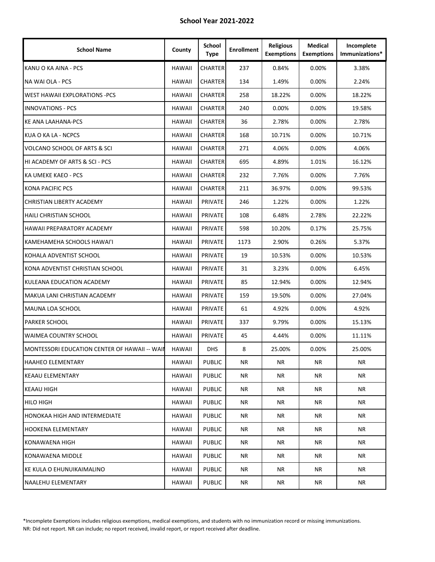| <b>School Name</b>                            | County        | School<br><b>Type</b> | <b>Enrollment</b> | <b>Religious</b><br><b>Exemptions</b> | <b>Medical</b><br><b>Exemptions</b> | Incomplete<br>Immunizations* |
|-----------------------------------------------|---------------|-----------------------|-------------------|---------------------------------------|-------------------------------------|------------------------------|
| KANU O KA AINA - PCS                          | <b>HAWAII</b> | <b>CHARTER</b>        | 237               | 0.84%                                 | 0.00%                               | 3.38%                        |
| NA WAI OLA - PCS                              | <b>HAWAII</b> | <b>CHARTER</b>        | 134               | 1.49%                                 | 0.00%                               | 2.24%                        |
| <b>WEST HAWAII EXPLORATIONS -PCS</b>          | <b>HAWAII</b> | <b>CHARTER</b>        | 258               | 18.22%                                | 0.00%                               | 18.22%                       |
| <b>INNOVATIONS - PCS</b>                      | <b>HAWAII</b> | <b>CHARTER</b>        | 240               | 0.00%                                 | 0.00%                               | 19.58%                       |
| <b>KE ANA LAAHANA-PCS</b>                     | <b>HAWAII</b> | <b>CHARTER</b>        | 36                | 2.78%                                 | 0.00%                               | 2.78%                        |
| KUA O KA LA - NCPCS                           | <b>HAWAII</b> | <b>CHARTER</b>        | 168               | 10.71%                                | 0.00%                               | 10.71%                       |
| VOLCANO SCHOOL OF ARTS & SCI                  | <b>HAWAII</b> | <b>CHARTER</b>        | 271               | 4.06%                                 | $0.00\%$                            | 4.06%                        |
| HI ACADEMY OF ARTS & SCI - PCS                | HAWAII        | <b>CHARTER</b>        | 695               | 4.89%                                 | 1.01%                               | 16.12%                       |
| KA UMEKE KAEO - PCS                           | <b>HAWAII</b> | <b>CHARTER</b>        | 232               | 7.76%                                 | 0.00%                               | 7.76%                        |
| <b>KONA PACIFIC PCS</b>                       | <b>HAWAII</b> | <b>CHARTER</b>        | 211               | 36.97%                                | 0.00%                               | 99.53%                       |
| CHRISTIAN LIBERTY ACADEMY                     | <b>HAWAII</b> | PRIVATE               | 246               | 1.22%                                 | $0.00\%$                            | 1.22%                        |
| <b>HAILI CHRISTIAN SCHOOL</b>                 | <b>HAWAII</b> | PRIVATE               | 108               | 6.48%                                 | 2.78%                               | 22.22%                       |
| HAWAII PREPARATORY ACADEMY                    | <b>HAWAII</b> | PRIVATE               | 598               | 10.20%                                | 0.17%                               | 25.75%                       |
| KAMEHAMEHA SCHOOLS HAWAI'I                    | <b>HAWAII</b> | <b>PRIVATE</b>        | 1173              | 2.90%                                 | 0.26%                               | 5.37%                        |
| KOHALA ADVENTIST SCHOOL                       | <b>HAWAII</b> | <b>PRIVATE</b>        | 19                | 10.53%                                | $0.00\%$                            | 10.53%                       |
| KONA ADVENTIST CHRISTIAN SCHOOL               | <b>HAWAII</b> | <b>PRIVATE</b>        | 31                | 3.23%                                 | 0.00%                               | 6.45%                        |
| KULEANA EDUCATION ACADEMY                     | <b>HAWAII</b> | PRIVATE               | 85                | 12.94%                                | 0.00%                               | 12.94%                       |
| MAKUA LANI CHRISTIAN ACADEMY                  | <b>HAWAII</b> | PRIVATE               | 159               | 19.50%                                | 0.00%                               | 27.04%                       |
| MAUNA LOA SCHOOL                              | <b>HAWAII</b> | PRIVATE               | 61                | 4.92%                                 | 0.00%                               | 4.92%                        |
| PARKER SCHOOL                                 | <b>HAWAII</b> | PRIVATE               | 337               | 9.79%                                 | 0.00%                               | 15.13%                       |
| <b>WAIMEA COUNTRY SCHOOL</b>                  | <b>HAWAII</b> | PRIVATE               | 45                | 4.44%                                 | 0.00%                               | 11.11%                       |
| MONTESSORI EDUCATION CENTER OF HAWAII -- WAII | HAWAII        | <b>DHS</b>            | 8                 | 25.00%                                | $0.00\%$                            | 25.00%                       |
| <b>HAAHEO ELEMENTARY</b>                      | <b>HAWAII</b> | <b>PUBLIC</b>         | NR                | ΝR                                    | NR.                                 | <b>NR</b>                    |
| <b>KEAAU ELEMENTARY</b>                       | <b>HAWAII</b> | <b>PUBLIC</b>         | NR                | NR                                    | ΝR                                  | NR                           |
| KEAAU HIGH                                    | HAWAII        | <b>PUBLIC</b>         | NR                | NR                                    | NR                                  | NR                           |
| <b>HILO HIGH</b>                              | HAWAII        | <b>PUBLIC</b>         | NR                | NR                                    | NR.                                 | ΝR                           |
| HONOKAA HIGH AND INTERMEDIATE                 | HAWAII        | <b>PUBLIC</b>         | NR                | NR                                    | NR.                                 | ΝR                           |
| <b>HOOKENA ELEMENTARY</b>                     | HAWAII        | <b>PUBLIC</b>         | NR                | NR                                    | NR                                  | NR                           |
| KONAWAENA HIGH                                | <b>HAWAII</b> | <b>PUBLIC</b>         | NR                | NR                                    | NR                                  | NR                           |
| KONAWAENA MIDDLE                              | HAWAII        | <b>PUBLIC</b>         | NR                | NR                                    | NR.                                 | NR                           |
| KE KULA O EHUNUIKAIMALINO                     | HAWAII        | <b>PUBLIC</b>         | NR                | NR                                    | NR                                  | NR                           |
| NAALEHU ELEMENTARY                            | <b>HAWAII</b> | <b>PUBLIC</b>         | NR                | ΝR                                    | NR                                  | NR                           |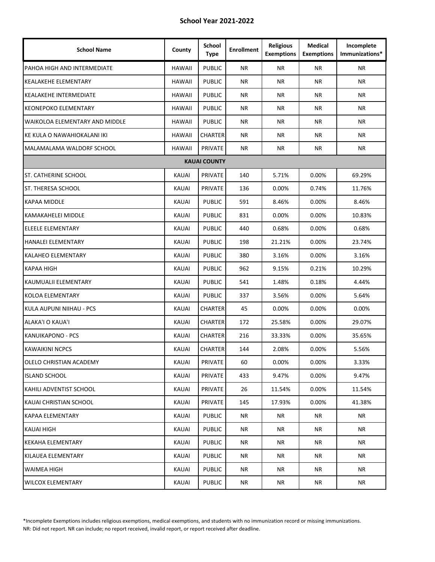| <b>School Name</b>             | County        | <b>School</b><br><b>Type</b> | <b>Enrollment</b> | <b>Religious</b><br><b>Exemptions</b> | <b>Medical</b><br><b>Exemptions</b> | Incomplete<br>Immunizations* |
|--------------------------------|---------------|------------------------------|-------------------|---------------------------------------|-------------------------------------|------------------------------|
| PAHOA HIGH AND INTERMEDIATE    | <b>HAWAII</b> | <b>PUBLIC</b>                | <b>NR</b>         | <b>NR</b>                             | <b>NR</b>                           | <b>NR</b>                    |
| <b>KEALAKEHE ELEMENTARY</b>    | <b>HAWAII</b> | <b>PUBLIC</b>                | <b>NR</b>         | <b>NR</b>                             | <b>NR</b>                           | <b>NR</b>                    |
| <b>KEALAKEHE INTERMEDIATE</b>  | <b>HAWAII</b> | <b>PUBLIC</b>                | ΝR                | NR.                                   | ΝR                                  | NR                           |
| <b>KEONEPOKO ELEMENTARY</b>    | <b>HAWAII</b> | <b>PUBLIC</b>                | <b>NR</b>         | <b>NR</b>                             | ΝR                                  | <b>NR</b>                    |
| WAIKOLOA ELEMENTARY AND MIDDLE | <b>HAWAII</b> | <b>PUBLIC</b>                | <b>NR</b>         | <b>NR</b>                             | <b>NR</b>                           | <b>NR</b>                    |
| KE KULA O NAWAHIOKALANI IKI    | <b>HAWAII</b> | <b>CHARTER</b>               | <b>NR</b>         | ΝR                                    | NR.                                 | <b>NR</b>                    |
| MALAMALAMA WALDORF SCHOOL      | <b>HAWAII</b> | PRIVATE                      | ΝR                | <b>NR</b>                             | NR                                  | NR.                          |
|                                |               | <b>KAUAI COUNTY</b>          |                   |                                       |                                     |                              |
| <b>ST. CATHERINE SCHOOL</b>    | <b>KAUAI</b>  | PRIVATE                      | 140               | 5.71%                                 | 0.00%                               | 69.29%                       |
| ST. THERESA SCHOOL             | <b>KAUAI</b>  | PRIVATE                      | 136               | 0.00%                                 | 0.74%                               | 11.76%                       |
| <b>KAPAA MIDDLE</b>            | <b>KAUAI</b>  | <b>PUBLIC</b>                | 591               | 8.46%                                 | 0.00%                               | 8.46%                        |
| <b>KAMAKAHELEI MIDDLE</b>      | <b>KAUAI</b>  | <b>PUBLIC</b>                | 831               | 0.00%                                 | 0.00%                               | 10.83%                       |
| ELEELE ELEMENTARY              | <b>KAUAI</b>  | <b>PUBLIC</b>                | 440               | 0.68%                                 | 0.00%                               | 0.68%                        |
| <b>HANALEI ELEMENTARY</b>      | <b>KAUAI</b>  | <b>PUBLIC</b>                | 198               | 21.21%                                | 0.00%                               | 23.74%                       |
| <b>KALAHEO ELEMENTARY</b>      | <b>KAUAI</b>  | <b>PUBLIC</b>                | 380               | 3.16%                                 | $0.00\%$                            | 3.16%                        |
| KAPAA HIGH                     | <b>KAUAI</b>  | <b>PUBLIC</b>                | 962               | 9.15%                                 | 0.21%                               | 10.29%                       |
| KAUMUALII ELEMENTARY           | <b>KAUAI</b>  | <b>PUBLIC</b>                | 541               | 1.48%                                 | 0.18%                               | 4.44%                        |
| <b>KOLOA ELEMENTARY</b>        | <b>KAUAI</b>  | <b>PUBLIC</b>                | 337               | 3.56%                                 | 0.00%                               | 5.64%                        |
| KULA AUPUNI NIIHAU - PCS       | <b>KAUAI</b>  | <b>CHARTER</b>               | 45                | 0.00%                                 | 0.00%                               | 0.00%                        |
| <b>ALAKA'I O KAUA'I</b>        | <b>KAUAI</b>  | <b>CHARTER</b>               | 172               | 25.58%                                | 0.00%                               | 29.07%                       |
| KANUIKAPONO - PCS              | KAUAI         | CHARTER                      | 216               | 33.33%                                | 0.00%                               | 35.65%                       |
| <b>KAWAIKINI NCPCS</b>         | <b>KAUAI</b>  | <b>CHARTER</b>               | 144               | 2.08%                                 | 0.00%                               | 5.56%                        |
| OLELO CHRISTIAN ACADEMY        | <b>KAUAI</b>  | PRIVATE                      | 60                | 0.00%                                 | 0.00%                               | 3.33%                        |
| <b>ISLAND SCHOOL</b>           | KAUAI         | PRIVATE                      | 433               | 9.47%                                 | 0.00%                               | 9.47%                        |
| KAHILI ADVENTIST SCHOOL        | <b>KAUAI</b>  | PRIVATE                      | 26                | 11.54%                                | 0.00%                               | 11.54%                       |
| KAUAI CHRISTIAN SCHOOL         | KAUAI         | PRIVATE                      | 145               | 17.93%                                | 0.00%                               | 41.38%                       |
| <b>KAPAA ELEMENTARY</b>        | <b>KAUAI</b>  | <b>PUBLIC</b>                | <b>NR</b>         | <b>NR</b>                             | NR                                  | <b>NR</b>                    |
| KAUAI HIGH                     | <b>KAUAI</b>  | <b>PUBLIC</b>                | NR                | NR                                    | ΝR                                  | NR                           |
| <b>KEKAHA ELEMENTARY</b>       | <b>KAUAI</b>  | <b>PUBLIC</b>                | NR                | NR                                    | NR.                                 | <b>NR</b>                    |
| KILAUEA ELEMENTARY             | KAUAI         | <b>PUBLIC</b>                | NR                | NR                                    | NR.                                 | NR                           |
| WAIMEA HIGH                    | KAUAI         | <b>PUBLIC</b>                | <b>NR</b>         | NR                                    | ΝR                                  | <b>NR</b>                    |
| <b>WILCOX ELEMENTARY</b>       | KAUAI         | <b>PUBLIC</b>                | <b>NR</b>         | <b>NR</b>                             | NR                                  | <b>NR</b>                    |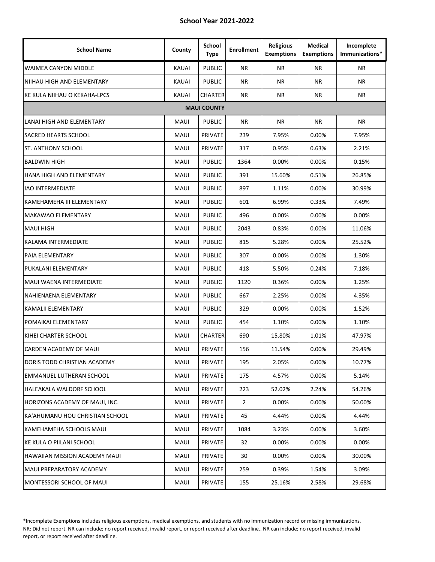| <b>School Name</b>              | County       | <b>School</b><br>Type | <b>Enrollment</b> | <b>Religious</b><br><b>Exemptions</b> | <b>Medical</b><br><b>Exemptions</b> | Incomplete<br>Immunizations* |
|---------------------------------|--------------|-----------------------|-------------------|---------------------------------------|-------------------------------------|------------------------------|
| WAIMEA CANYON MIDDLE            | <b>KAUAI</b> | <b>PUBLIC</b>         | <b>NR</b>         | <b>NR</b>                             | <b>NR</b>                           | ΝR                           |
| NIIHAU HIGH AND ELEMENTARY      | <b>KAUAI</b> | <b>PUBLIC</b>         | <b>NR</b>         | <b>NR</b>                             | <b>NR</b>                           | NR.                          |
| KE KULA NIIHAU O KEKAHA-LPCS    | <b>KAUAI</b> | <b>CHARTER</b>        | <b>NR</b>         | NR.                                   | <b>NR</b>                           | ΝR                           |
|                                 |              | <b>MAUI COUNTY</b>    |                   |                                       |                                     |                              |
| LANAI HIGH AND ELEMENTARY       | <b>MAUI</b>  | <b>PUBLIC</b>         | <b>NR</b>         | <b>NR</b>                             | <b>NR</b>                           | ΝR                           |
| <b>SACRED HEARTS SCHOOL</b>     | MAUI         | PRIVATE               | 239               | 7.95%                                 | 0.00%                               | 7.95%                        |
| ST. ANTHONY SCHOOL              | <b>MAUI</b>  | <b>PRIVATE</b>        | 317               | 0.95%                                 | 0.63%                               | 2.21%                        |
| <b>BALDWIN HIGH</b>             | <b>MAUI</b>  | <b>PUBLIC</b>         | 1364              | 0.00%                                 | 0.00%                               | 0.15%                        |
| <b>HANA HIGH AND ELEMENTARY</b> | <b>MAUI</b>  | <b>PUBLIC</b>         | 391               | 15.60%                                | 0.51%                               | 26.85%                       |
| <b>IAO INTERMEDIATE</b>         | MAUI         | <b>PUBLIC</b>         | 897               | 1.11%                                 | 0.00%                               | 30.99%                       |
| KAMEHAMEHA III ELEMENTARY       | MAUI         | <b>PUBLIC</b>         | 601               | 6.99%                                 | 0.33%                               | 7.49%                        |
| MAKAWAO ELEMENTARY              | <b>MAUI</b>  | <b>PUBLIC</b>         | 496               | 0.00%                                 | 0.00%                               | 0.00%                        |
| MAUI HIGH                       | MAUI         | <b>PUBLIC</b>         | 2043              | 0.83%                                 | 0.00%                               | 11.06%                       |
| KALAMA INTERMEDIATE             | MAUI         | <b>PUBLIC</b>         | 815               | 5.28%                                 | 0.00%                               | 25.52%                       |
| PAIA ELEMENTARY                 | <b>MAUI</b>  | <b>PUBLIC</b>         | 307               | 0.00%                                 | 0.00%                               | 1.30%                        |
| PUKALANI ELEMENTARY             | <b>MAUI</b>  | <b>PUBLIC</b>         | 418               | 5.50%                                 | 0.24%                               | 7.18%                        |
| MAUI WAENA INTERMEDIATE         | MAUI         | <b>PUBLIC</b>         | 1120              | 0.36%                                 | 0.00%                               | 1.25%                        |
| NAHIENAENA ELEMENTARY           | MAUI         | <b>PUBLIC</b>         | 667               | 2.25%                                 | 0.00%                               | 4.35%                        |
| KAMALII ELEMENTARY              | <b>MAUI</b>  | <b>PUBLIC</b>         | 329               | 0.00%                                 | 0.00%                               | 1.52%                        |
| POMAIKAI ELEMENTARY             | MAUI         | <b>PUBLIC</b>         | 454               | 1.10%                                 | 0.00%                               | 1.10%                        |
| KIHEI CHARTER SCHOOL            | MAUI         | <b>CHARTER</b>        | 690               | 15.80%                                | 1.01%                               | 47.97%                       |
| CARDEN ACADEMY OF MAUI          | MAUI         | PRIVATE               | 156               | 11.54%                                | 0.00%                               | 29.49%                       |
| DORIS TODD CHRISTIAN ACADEMY    | MAUI         | PRIVATE               | 195               | 2.05%                                 | 0.00%                               | 10.77%                       |
| EMMANUEL LUTHERAN SCHOOL        | MAUI         | PRIVATE               | 175               | 4.57%                                 | 0.00%                               | 5.14%                        |
| HALEAKALA WALDORF SCHOOL        | MAUI         | PRIVATE               | 223               | 52.02%                                | 2.24%                               | 54.26%                       |
| HORIZONS ACADEMY OF MAUI, INC.  | MAUI         | PRIVATE               | $\overline{2}$    | $0.00\%$                              | $0.00\%$                            | 50.00%                       |
| KA'AHUMANU HOU CHRISTIAN SCHOOL | MAUI         | PRIVATE               | 45                | 4.44%                                 | 0.00%                               | 4.44%                        |
| KAMEHAMEHA SCHOOLS MAUI         | MAUI         | <b>PRIVATE</b>        | 1084              | 3.23%                                 | 0.00%                               | 3.60%                        |
| KE KULA O PIILANI SCHOOL        | MAUI         | PRIVATE               | 32                | $0.00\%$                              | $0.00\%$                            | 0.00%                        |
| HAWAIIAN MISSION ACADEMY MAUI   | MAUI         | PRIVATE               | 30                | $0.00\%$                              | $0.00\%$                            | 30.00%                       |
| MAUI PREPARATORY ACADEMY        | MAUI         | PRIVATE               | 259               | 0.39%                                 | 1.54%                               | 3.09%                        |
| MONTESSORI SCHOOL OF MAUI       | MAUI         | PRIVATE               | 155               | 25.16%                                | 2.58%                               | 29.68%                       |

\*Incomplete Exemptions includes religious exemptions, medical exemptions, and students with no immunization record or missing immunizations. NR: Did not report. NR can include; no report received, invalid report, or report received after deadline.. NR can include; no report received, invalid report, or report received after deadline.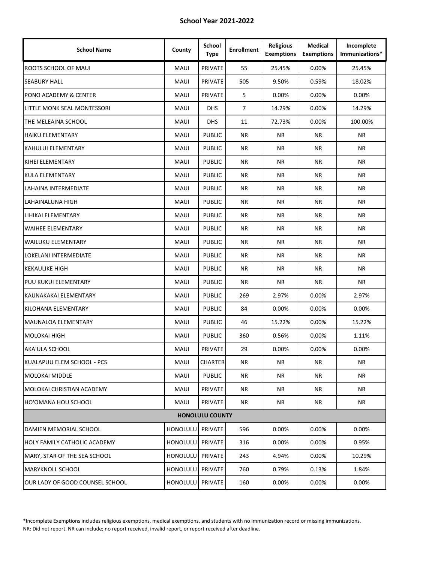| <b>School Name</b>              | County          | School<br><b>Type</b>  | <b>Enrollment</b> | <b>Religious</b><br><b>Exemptions</b> | <b>Medical</b><br><b>Exemptions</b> | Incomplete<br>Immunizations* |
|---------------------------------|-----------------|------------------------|-------------------|---------------------------------------|-------------------------------------|------------------------------|
| ROOTS SCHOOL OF MAUI            | <b>MAUI</b>     | PRIVATE                | 55                | 25.45%                                | 0.00%                               | 25.45%                       |
| <b>SEABURY HALL</b>             | <b>MAUI</b>     | PRIVATE                | 505               | 9.50%                                 | 0.59%                               | 18.02%                       |
| PONO ACADEMY & CENTER           | <b>MAUI</b>     | PRIVATE                | 5                 | 0.00%                                 | 0.00%                               | 0.00%                        |
| LITTLE MONK SEAL MONTESSORI     | <b>MAUI</b>     | <b>DHS</b>             | $\overline{7}$    | 14.29%                                | 0.00%                               | 14.29%                       |
| THE MELEAINA SCHOOL             | <b>MAUI</b>     | <b>DHS</b>             | 11                | 72.73%                                | 0.00%                               | 100.00%                      |
| <b>HAIKU ELEMENTARY</b>         | <b>MAUI</b>     | <b>PUBLIC</b>          | <b>NR</b>         | <b>NR</b>                             | <b>NR</b>                           | <b>NR</b>                    |
| KAHULUI ELEMENTARY              | <b>MAUI</b>     | <b>PUBLIC</b>          | <b>NR</b>         | <b>NR</b>                             | ΝR                                  | <b>NR</b>                    |
| KIHEI ELEMENTARY                | MAUI            | <b>PUBLIC</b>          | ΝR                | <b>NR</b>                             | ΝR                                  | NR.                          |
| <b>KULA ELEMENTARY</b>          | <b>MAUI</b>     | <b>PUBLIC</b>          | <b>NR</b>         | <b>NR</b>                             | ΝR                                  | <b>NR</b>                    |
| LAHAINA INTERMEDIATE            | <b>MAUI</b>     | <b>PUBLIC</b>          | <b>NR</b>         | <b>NR</b>                             | <b>NR</b>                           | <b>NR</b>                    |
| LAHAINALUNA HIGH                | <b>MAUI</b>     | <b>PUBLIC</b>          | ΝR                | <b>NR</b>                             | ΝR                                  | NR.                          |
| LIHIKAI ELEMENTARY              | <b>MAUI</b>     | <b>PUBLIC</b>          | <b>NR</b>         | <b>NR</b>                             | <b>NR</b>                           | <b>NR</b>                    |
| <b>WAIHEE ELEMENTARY</b>        | <b>MAUI</b>     | <b>PUBLIC</b>          | <b>NR</b>         | <b>NR</b>                             | <b>NR</b>                           | <b>NR</b>                    |
| <b>WAILUKU ELEMENTARY</b>       | <b>MAUI</b>     | <b>PUBLIC</b>          | <b>NR</b>         | <b>NR</b>                             | ΝR                                  | <b>NR</b>                    |
| LOKELANI INTERMEDIATE           | MAUI            | <b>PUBLIC</b>          | ΝR                | <b>NR</b>                             | ΝR                                  | NR.                          |
| <b>KEKAULIKE HIGH</b>           | <b>MAUI</b>     | <b>PUBLIC</b>          | <b>NR</b>         | <b>NR</b>                             | ΝR                                  | <b>NR</b>                    |
| PUU KUKUI ELEMENTARY            | <b>MAUI</b>     | <b>PUBLIC</b>          | <b>NR</b>         | <b>NR</b>                             | <b>NR</b>                           | NR.                          |
| KAUNAKAKAI ELEMENTARY           | <b>MAUI</b>     | <b>PUBLIC</b>          | 269               | 2.97%                                 | 0.00%                               | 2.97%                        |
| KILOHANA ELEMENTARY             | <b>MAUI</b>     | <b>PUBLIC</b>          | 84                | 0.00%                                 | 0.00%                               | 0.00%                        |
| MAUNALOA ELEMENTARY             | <b>MAUI</b>     | <b>PUBLIC</b>          | 46                | 15.22%                                | 0.00%                               | 15.22%                       |
| MOLOKAI HIGH                    | <b>MAUI</b>     | <b>PUBLIC</b>          | 360               | 0.56%                                 | 0.00%                               | 1.11%                        |
| AKA'ULA SCHOOL                  | MAUI            | <b>PRIVATE</b>         | 29                | 0.00%                                 | 0.00%                               | 0.00%                        |
| KUALAPUU ELEM SCHOOL - PCS      | MAUI            | <b>CHARTER</b>         | NR                | <b>NR</b>                             | <b>NR</b>                           | <b>NR</b>                    |
| MOLOKAI MIDDLE                  | <b>MAUI</b>     | <b>PUBLIC</b>          | ΝR                | NR                                    | ΝR                                  | NR                           |
| MOLOKAI CHRISTIAN ACADEMY       | <b>MAUI</b>     | PRIVATE                | NR                | ΝR                                    | ΝR                                  | NR                           |
| HO'OMANA HOU SCHOOL             | MAUI            | PRIVATE                | NR                | ΝR                                    | <b>NR</b>                           | <b>NR</b>                    |
|                                 |                 | <b>HONOLULU COUNTY</b> |                   |                                       |                                     |                              |
| DAMIEN MEMORIAL SCHOOL          | HONOLULU        | PRIVATE                | 596               | 0.00%                                 | $0.00\%$                            | 0.00%                        |
| HOLY FAMILY CATHOLIC ACADEMY    | <b>HONOLULU</b> | PRIVATE                | 316               | 0.00%                                 | $0.00\%$                            | 0.95%                        |
| MARY, STAR OF THE SEA SCHOOL    | <b>HONOLULU</b> | PRIVATE                | 243               | 4.94%                                 | 0.00%                               | 10.29%                       |
| MARYKNOLL SCHOOL                | <b>HONOLULU</b> | PRIVATE                | 760               | 0.79%                                 | 0.13%                               | 1.84%                        |
| OUR LADY OF GOOD COUNSEL SCHOOL | HONOLULU        | PRIVATE                | 160               | 0.00%                                 | 0.00%                               | 0.00%                        |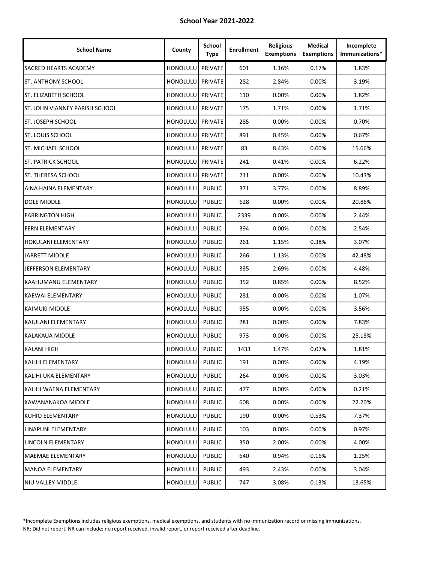| <b>School Name</b>             | County          | <b>School</b><br><b>Type</b> | <b>Enrollment</b> | <b>Religious</b><br><b>Exemptions</b> | Medical<br><b>Exemptions</b> | Incomplete<br>Immunizations* |
|--------------------------------|-----------------|------------------------------|-------------------|---------------------------------------|------------------------------|------------------------------|
| SACRED HEARTS ACADEMY          | <b>HONOLULU</b> | PRIVATE                      | 601               | 1.16%                                 | 0.17%                        | 1.83%                        |
| ST. ANTHONY SCHOOL             | <b>HONOLULU</b> | PRIVATE                      | 282               | 2.84%                                 | $0.00\%$                     | 3.19%                        |
| <b>ST. ELIZABETH SCHOOL</b>    | <b>HONOLULU</b> | PRIVATE                      | 110               | 0.00%                                 | $0.00\%$                     | 1.82%                        |
| ST. JOHN VIANNEY PARISH SCHOOL | HONOLULU        | PRIVATE                      | 175               | 1.71%                                 | $0.00\%$                     | 1.71%                        |
| ST. JOSEPH SCHOOL              | HONOLULU        | PRIVATE                      | 285               | 0.00%                                 | 0.00%                        | 0.70%                        |
| <b>ST. LOUIS SCHOOL</b>        | <b>HONOLULU</b> | PRIVATE                      | 891               | 0.45%                                 | 0.00%                        | 0.67%                        |
| ST. MICHAEL SCHOOL             | <b>HONOLULU</b> | PRIVATE                      | 83                | 8.43%                                 | 0.00%                        | 15.66%                       |
| <b>ST. PATRICK SCHOOL</b>      | <b>HONOLULU</b> | PRIVATE                      | 241               | 0.41%                                 | 0.00%                        | 6.22%                        |
| ST. THERESA SCHOOL             | <b>HONOLULU</b> | PRIVATE                      | 211               | 0.00%                                 | $0.00\%$                     | 10.43%                       |
| AINA HAINA ELEMENTARY          | HONOLULU        | <b>PUBLIC</b>                | 371               | 3.77%                                 | $0.00\%$                     | 8.89%                        |
| DOLE MIDDLE                    | HONOLULU        | <b>PUBLIC</b>                | 628               | 0.00%                                 | $0.00\%$                     | 20.86%                       |
| <b>FARRINGTON HIGH</b>         | HONOLULU        | <b>PUBLIC</b>                | 2339              | 0.00%                                 | 0.00%                        | 2.44%                        |
| <b>FERN ELEMENTARY</b>         | HONOLULU        | <b>PUBLIC</b>                | 394               | 0.00%                                 | 0.00%                        | 2.54%                        |
| <b>HOKULANI ELEMENTARY</b>     | <b>HONOLULU</b> | <b>PUBLIC</b>                | 261               | 1.15%                                 | 0.38%                        | 3.07%                        |
| JARRETT MIDDLE                 | <b>HONOLULU</b> | <b>PUBLIC</b>                | 266               | 1.13%                                 | 0.00%                        | 42.48%                       |
| JEFFERSON ELEMENTARY           | HONOLULU        | <b>PUBLIC</b>                | 335               | 2.69%                                 | $0.00\%$                     | 4.48%                        |
| KAAHUMANU ELEMENTARY           | <b>HONOLULU</b> | <b>PUBLIC</b>                | 352               | 0.85%                                 | $0.00\%$                     | 8.52%                        |
| KAEWAI ELEMENTARY              | HONOLULU        | <b>PUBLIC</b>                | 281               | 0.00%                                 | $0.00\%$                     | 1.07%                        |
| <b>KAIMUKI MIDDLE</b>          | HONOLULU        | <b>PUBLIC</b>                | 955               | 0.00%                                 | 0.00%                        | 3.56%                        |
| KAIULANI ELEMENTARY            | HONOLULU        | <b>PUBLIC</b>                | 281               | 0.00%                                 | 0.00%                        | 7.83%                        |
| KALAKAUA MIDDLE                | <b>HONOLULU</b> | <b>PUBLIC</b>                | 973               | 0.00%                                 | $0.00\%$                     | 25.18%                       |
| <b>KALANI HIGH</b>             | HONOLULU        | <b>PUBLIC</b>                | 1433              | 1.47%                                 | 0.07%                        | 1.81%                        |
| <b>KALIHI ELEMENTARY</b>       | HONOLULU        | <b>PUBLIC</b>                | 191               | 0.00%                                 | 0.00%                        | 4.19%                        |
| KALIHI UKA ELEMENTARY          | <b>HONOLULU</b> | <b>PUBLIC</b>                | 264               | 0.00%                                 | 0.00%                        | 3.03%                        |
| KALIHI WAENA ELEMENTARY        | HONOLULU        | <b>PUBLIC</b>                | 477               | 0.00%                                 | 0.00%                        | 0.21%                        |
| KAWANANAKOA MIDDLE             | HONOLULU        | <b>PUBLIC</b>                | 608               | 0.00%                                 | $0.00\%$                     | 22.20%                       |
| KUHIO ELEMENTARY               | HONOLULU        | <b>PUBLIC</b>                | 190               | 0.00%                                 | 0.53%                        | 7.37%                        |
| LINAPUNI ELEMENTARY            | <b>HONOLULU</b> | <b>PUBLIC</b>                | 103               | 0.00%                                 | $0.00\%$                     | 0.97%                        |
| LINCOLN ELEMENTARY             | <b>HONOLULU</b> | <b>PUBLIC</b>                | 350               | 2.00%                                 | $0.00\%$                     | 4.00%                        |
| MAEMAE ELEMENTARY              | <b>HONOLULU</b> | <b>PUBLIC</b>                | 640               | 0.94%                                 | 0.16%                        | 1.25%                        |
| <b>MANOA ELEMENTARY</b>        | <b>HONOLULU</b> | <b>PUBLIC</b>                | 493               | 2.43%                                 | 0.00%                        | 3.04%                        |
| NIU VALLEY MIDDLE              | HONOLULU        | <b>PUBLIC</b>                | 747               | 3.08%                                 | 0.13%                        | 13.65%                       |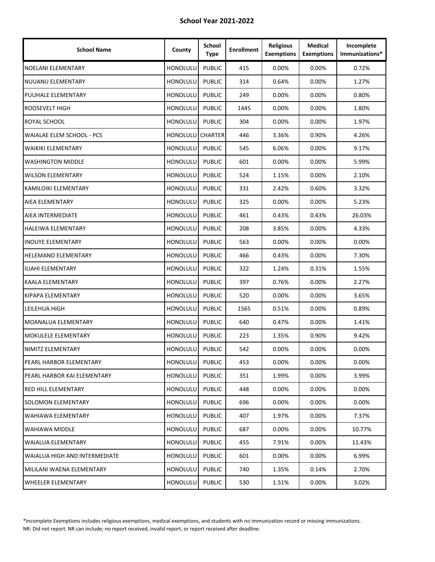| <b>School Name</b>            | County          | School<br><b>Type</b> | <b>Enrollment</b> | <b>Religious</b><br><b>Exemptions</b> | <b>Medical</b><br><b>Exemptions</b> | Incomplete<br>Immunizations* |
|-------------------------------|-----------------|-----------------------|-------------------|---------------------------------------|-------------------------------------|------------------------------|
| NOELANI ELEMENTARY            | HONOLULU        | <b>PUBLIC</b>         | 415               | 0.00%                                 | 0.00%                               | 0.72%                        |
| <b>NUUANU ELEMENTARY</b>      | <b>HONOLULU</b> | <b>PUBLIC</b>         | 314               | 0.64%                                 | 0.00%                               | 1.27%                        |
| PUUHALE ELEMENTARY            | <b>HONOLULU</b> | <b>PUBLIC</b>         | 249               | 0.00%                                 | 0.00%                               | 0.80%                        |
| ROOSEVELT HIGH                | HONOLULU        | <b>PUBLIC</b>         | 1445              | 0.00%                                 | $0.00\%$                            | 1.80%                        |
| ROYAL SCHOOL                  | <b>HONOLULU</b> | <b>PUBLIC</b>         | 304               | 0.00%                                 | 0.00%                               | 1.97%                        |
| WAIALAE ELEM SCHOOL - PCS     | <b>HONOLULU</b> | <b>CHARTER</b>        | 446               | 3.36%                                 | 0.90%                               | 4.26%                        |
| <b>WAIKIKI ELEMENTARY</b>     | HONOLULU        | <b>PUBLIC</b>         | 545               | 6.06%                                 | 0.00%                               | 9.17%                        |
| <b>WASHINGTON MIDDLE</b>      | <b>HONOLULU</b> | <b>PUBLIC</b>         | 601               | 0.00%                                 | 0.00%                               | 5.99%                        |
| <b>WILSON ELEMENTARY</b>      | HONOLULU        | <b>PUBLIC</b>         | 524               | 1.15%                                 | 0.00%                               | 2.10%                        |
| KAMILOIKI ELEMENTARY          | <b>HONOLULU</b> | <b>PUBLIC</b>         | 331               | 2.42%                                 | 0.60%                               | 3.32%                        |
| AIEA ELEMENTARY               | HONOLULU        | <b>PUBLIC</b>         | 325               | 0.00%                                 | $0.00\%$                            | 5.23%                        |
| AIEA INTERMEDIATE             | <b>HONOLULU</b> | <b>PUBLIC</b>         | 461               | 0.43%                                 | 0.43%                               | 26.03%                       |
| <b>HALEIWA ELEMENTARY</b>     | HONOLULU        | <b>PUBLIC</b>         | 208               | 3.85%                                 | 0.00%                               | 4.33%                        |
| <b>INOUYE ELEMENTARY</b>      | HONOLULU        | <b>PUBLIC</b>         | 563               | 0.00%                                 | 0.00%                               | 0.00%                        |
| <b>HELEMANO ELEMENTARY</b>    | HONOLULU        | <b>PUBLIC</b>         | 466               | 0.43%                                 | 0.00%                               | 7.30%                        |
| ILIAHI ELEMENTARY             | HONOLULU        | <b>PUBLIC</b>         | 322               | 1.24%                                 | 0.31%                               | 1.55%                        |
| <b>KAALA ELEMENTARY</b>       | <b>HONOLULU</b> | <b>PUBLIC</b>         | 397               | 0.76%                                 | 0.00%                               | 2.27%                        |
| KIPAPA ELEMENTARY             | HONOLULU        | <b>PUBLIC</b>         | 520               | 0.00%                                 | $0.00\%$                            | 3.65%                        |
| LEILEHUA HIGH                 | HONOLULU        | <b>PUBLIC</b>         | 1565              | 0.51%                                 | 0.00%                               | 0.89%                        |
| MOANALUA ELEMENTARY           | HONOLULU        | <b>PUBLIC</b>         | 640               | 0.47%                                 | 0.00%                               | 1.41%                        |
| MOKULELE ELEMENTARY           | HONOLULU        | <b>PUBLIC</b>         | 223               | 1.35%                                 | 0.90%                               | 9.42%                        |
| NIMITZ ELEMENTARY             | <b>HONOLULU</b> | <b>PUBLIC</b>         | 542               | 0.00%                                 | 0.00%                               | 0.00%                        |
| PEARL HARBOR ELEMENTARY       | HONOLULU        | <b>PUBLIC</b>         | 453               | 0.00%                                 | 0.00%                               | 0.00%                        |
| PEARL HARBOR KAI ELEMENTARY   | <b>HONOLULU</b> | <b>PUBLIC</b>         | 351               | 1.99%                                 | $0.00\%$                            | 3.99%                        |
| <b>RED HILL ELEMENTARY</b>    | <b>HONOLULU</b> | <b>PUBLIC</b>         | 448               | 0.00%                                 | $0.00\%$                            | 0.00%                        |
| SOLOMON ELEMENTARY            | HONOLULU        | <b>PUBLIC</b>         | 696               | 0.00%                                 | $0.00\%$                            | 0.00%                        |
| <b>WAHIAWA ELEMENTARY</b>     | HONOLULU        | <b>PUBLIC</b>         | 407               | 1.97%                                 | 0.00%                               | 7.37%                        |
| WAHIAWA MIDDLE                | <b>HONOLULU</b> | <b>PUBLIC</b>         | 687               | 0.00%                                 | $0.00\%$                            | 10.77%                       |
| <b>WAIALUA ELEMENTARY</b>     | <b>HONOLULU</b> | <b>PUBLIC</b>         | 455               | 7.91%                                 | $0.00\%$                            | 11.43%                       |
| WAIALUA HIGH AND INTERMEDIATE | <b>HONOLULU</b> | <b>PUBLIC</b>         | 601               | 0.00%                                 | $0.00\%$                            | 6.99%                        |
| MILILANI WAENA ELEMENTARY     | <b>HONOLULU</b> | <b>PUBLIC</b>         | 740               | 1.35%                                 | 0.14%                               | 2.70%                        |
| WHEELER ELEMENTARY            | HONOLULU        | <b>PUBLIC</b>         | 530               | 1.51%                                 | 0.00%                               | 3.02%                        |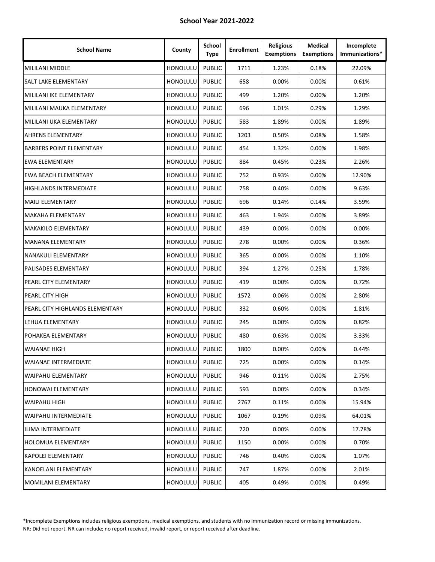| <b>School Name</b>              | County          | School<br><b>Type</b> | <b>Enrollment</b> | <b>Religious</b><br><b>Exemptions</b> | Medical<br><b>Exemptions</b> | Incomplete<br>Immunizations* |
|---------------------------------|-----------------|-----------------------|-------------------|---------------------------------------|------------------------------|------------------------------|
| MILILANI MIDDLE                 | <b>HONOLULU</b> | <b>PUBLIC</b>         | 1711              | 1.23%                                 | 0.18%                        | 22.09%                       |
| SALT LAKE ELEMENTARY            | <b>HONOLULU</b> | <b>PUBLIC</b>         | 658               | 0.00%                                 | $0.00\%$                     | 0.61%                        |
| MILILANI IKE ELEMENTARY         | <b>HONOLULU</b> | <b>PUBLIC</b>         | 499               | 1.20%                                 | $0.00\%$                     | 1.20%                        |
| MILILANI MAUKA ELEMENTARY       | HONOLULU        | <b>PUBLIC</b>         | 696               | 1.01%                                 | 0.29%                        | 1.29%                        |
| MILILANI UKA ELEMENTARY         | HONOLULU        | <b>PUBLIC</b>         | 583               | 1.89%                                 | 0.00%                        | 1.89%                        |
| <b>AHRENS ELEMENTARY</b>        | <b>HONOLULU</b> | <b>PUBLIC</b>         | 1203              | 0.50%                                 | 0.08%                        | 1.58%                        |
| <b>BARBERS POINT ELEMENTARY</b> | <b>HONOLULU</b> | <b>PUBLIC</b>         | 454               | 1.32%                                 | 0.00%                        | 1.98%                        |
| <b>EWA ELEMENTARY</b>           | <b>HONOLULU</b> | <b>PUBLIC</b>         | 884               | 0.45%                                 | 0.23%                        | 2.26%                        |
| <b>EWA BEACH ELEMENTARY</b>     | <b>HONOLULU</b> | <b>PUBLIC</b>         | 752               | 0.93%                                 | $0.00\%$                     | 12.90%                       |
| <b>HIGHLANDS INTERMEDIATE</b>   | <b>HONOLULU</b> | <b>PUBLIC</b>         | 758               | 0.40%                                 | $0.00\%$                     | 9.63%                        |
| <b>MAILI ELEMENTARY</b>         | HONOLULU        | <b>PUBLIC</b>         | 696               | 0.14%                                 | 0.14%                        | 3.59%                        |
| MAKAHA ELEMENTARY               | HONOLULU        | <b>PUBLIC</b>         | 463               | 1.94%                                 | 0.00%                        | 3.89%                        |
| MAKAKILO ELEMENTARY             | HONOLULU        | <b>PUBLIC</b>         | 439               | 0.00%                                 | 0.00%                        | 0.00%                        |
| <b>MANANA ELEMENTARY</b>        | <b>HONOLULU</b> | <b>PUBLIC</b>         | 278               | 0.00%                                 | 0.00%                        | 0.36%                        |
| NANAKULI ELEMENTARY             | <b>HONOLULU</b> | <b>PUBLIC</b>         | 365               | 0.00%                                 | 0.00%                        | 1.10%                        |
| PALISADES ELEMENTARY            | <b>HONOLULU</b> | <b>PUBLIC</b>         | 394               | 1.27%                                 | 0.25%                        | 1.78%                        |
| PEARL CITY ELEMENTARY           | HONOLULU        | <b>PUBLIC</b>         | 419               | 0.00%                                 | $0.00\%$                     | 0.72%                        |
| PEARL CITY HIGH                 | HONOLULU        | <b>PUBLIC</b>         | 1572              | 0.06%                                 | $0.00\%$                     | 2.80%                        |
| PEARL CITY HIGHLANDS ELEMENTARY | HONOLULU        | <b>PUBLIC</b>         | 332               | 0.60%                                 | 0.00%                        | 1.81%                        |
| LEHUA ELEMENTARY                | HONOLULU        | <b>PUBLIC</b>         | 245               | 0.00%                                 | 0.00%                        | 0.82%                        |
| POHAKEA ELEMENTARY              | <b>HONOLULU</b> | <b>PUBLIC</b>         | 480               | 0.63%                                 | $0.00\%$                     | 3.33%                        |
| WAIANAE HIGH                    | HONOLULU        | <b>PUBLIC</b>         | 1800              | 0.00%                                 | 0.00%                        | 0.44%                        |
| <b>WAIANAE INTERMEDIATE</b>     | HONOLULU        | <b>PUBLIC</b>         | 725               | 0.00%                                 | 0.00%                        | 0.14%                        |
| <b>WAIPAHU ELEMENTARY</b>       | <b>HONOLULU</b> | <b>PUBLIC</b>         | 946               | 0.11%                                 | 0.00%                        | 2.75%                        |
| <b>HONOWAI ELEMENTARY</b>       | <b>HONOLULU</b> | <b>PUBLIC</b>         | 593               | 0.00%                                 | 0.00%                        | 0.34%                        |
| <b>WAIPAHU HIGH</b>             | HONOLULU        | <b>PUBLIC</b>         | 2767              | 0.11%                                 | 0.00%                        | 15.94%                       |
| <b>WAIPAHU INTERMEDIATE</b>     | HONOLULU        | <b>PUBLIC</b>         | 1067              | 0.19%                                 | 0.09%                        | 64.01%                       |
| ILIMA INTERMEDIATE              | <b>HONOLULU</b> | <b>PUBLIC</b>         | 720               | 0.00%                                 | 0.00%                        | 17.78%                       |
| <b>HOLOMUA ELEMENTARY</b>       | <b>HONOLULU</b> | <b>PUBLIC</b>         | 1150              | 0.00%                                 | $0.00\%$                     | 0.70%                        |
| <b>KAPOLEI ELEMENTARY</b>       | <b>HONOLULU</b> | <b>PUBLIC</b>         | 746               | 0.40%                                 | 0.00%                        | 1.07%                        |
| KANOELANI ELEMENTARY            | <b>HONOLULU</b> | <b>PUBLIC</b>         | 747               | 1.87%                                 | 0.00%                        | 2.01%                        |
| <b>MOMILANI ELEMENTARY</b>      | HONOLULU        | <b>PUBLIC</b>         | 405               | 0.49%                                 | 0.00%                        | 0.49%                        |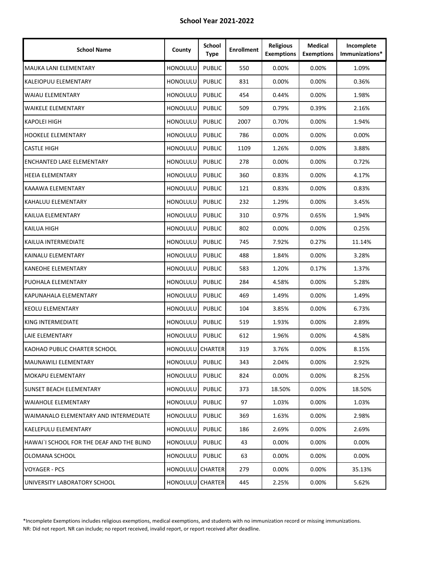| <b>School Name</b>                        | County                  | School<br><b>Type</b> | <b>Enrollment</b> | <b>Religious</b><br><b>Exemptions</b> | <b>Medical</b><br><b>Exemptions</b> | Incomplete<br>Immunizations* |
|-------------------------------------------|-------------------------|-----------------------|-------------------|---------------------------------------|-------------------------------------|------------------------------|
| MAUKA LANI ELEMENTARY                     | <b>HONOLULU</b>         | <b>PUBLIC</b>         | 550               | 0.00%                                 | 0.00%                               | 1.09%                        |
| <b>KALEIOPUU ELEMENTARY</b>               | <b>HONOLULU</b>         | <b>PUBLIC</b>         | 831               | 0.00%                                 | $0.00\%$                            | 0.36%                        |
| <b>WAIAU ELEMENTARY</b>                   | <b>HONOLULU</b>         | <b>PUBLIC</b>         | 454               | 0.44%                                 | 0.00%                               | 1.98%                        |
| <b>WAIKELE ELEMENTARY</b>                 | HONOLULU                | <b>PUBLIC</b>         | 509               | 0.79%                                 | 0.39%                               | 2.16%                        |
| <b>KAPOLEI HIGH</b>                       | HONOLULU                | <b>PUBLIC</b>         | 2007              | 0.70%                                 | 0.00%                               | 1.94%                        |
| <b>HOOKELE ELEMENTARY</b>                 | HONOLULU                | <b>PUBLIC</b>         | 786               | 0.00%                                 | 0.00%                               | 0.00%                        |
| <b>CASTLE HIGH</b>                        | <b>HONOLULU</b>         | <b>PUBLIC</b>         | 1109              | 1.26%                                 | 0.00%                               | 3.88%                        |
| ENCHANTED LAKE ELEMENTARY                 | <b>HONOLULU</b>         | <b>PUBLIC</b>         | 278               | 0.00%                                 | 0.00%                               | 0.72%                        |
| <b>HEEIA ELEMENTARY</b>                   | HONOLULU                | <b>PUBLIC</b>         | 360               | 0.83%                                 | 0.00%                               | 4.17%                        |
| KAAAWA ELEMENTARY                         | HONOLULU                | <b>PUBLIC</b>         | 121               | 0.83%                                 | 0.00%                               | 0.83%                        |
| KAHALUU ELEMENTARY                        | HONOLULU                | <b>PUBLIC</b>         | 232               | 1.29%                                 | 0.00%                               | 3.45%                        |
| KAILUA ELEMENTARY                         | <b>HONOLULU</b>         | <b>PUBLIC</b>         | 310               | 0.97%                                 | 0.65%                               | 1.94%                        |
| <b>KAILUA HIGH</b>                        | <b>HONOLULU</b>         | <b>PUBLIC</b>         | 802               | 0.00%                                 | 0.00%                               | 0.25%                        |
| KAILUA INTERMEDIATE                       | HONOLULU                | <b>PUBLIC</b>         | 745               | 7.92%                                 | 0.27%                               | 11.14%                       |
| KAINALU ELEMENTARY                        | <b>HONOLULU</b>         | <b>PUBLIC</b>         | 488               | 1.84%                                 | 0.00%                               | 3.28%                        |
| <b>KANEOHE ELEMENTARY</b>                 | HONOLULU                | <b>PUBLIC</b>         | 583               | 1.20%                                 | 0.17%                               | 1.37%                        |
| PUOHALA ELEMENTARY                        | <b>HONOLULU</b>         | <b>PUBLIC</b>         | 284               | 4.58%                                 | 0.00%                               | 5.28%                        |
| KAPUNAHALA ELEMENTARY                     | HONOLULU                | <b>PUBLIC</b>         | 469               | 1.49%                                 | 0.00%                               | 1.49%                        |
| <b>KEOLU ELEMENTARY</b>                   | HONOLULU                | <b>PUBLIC</b>         | 104               | 3.85%                                 | 0.00%                               | 6.73%                        |
| KING INTERMEDIATE                         | HONOLULU                | <b>PUBLIC</b>         | 519               | 1.93%                                 | 0.00%                               | 2.89%                        |
| LAIE ELEMENTARY                           | HONOLULU                | <b>PUBLIC</b>         | 612               | 1.96%                                 | 0.00%                               | 4.58%                        |
| KAOHAO PUBLIC CHARTER SCHOOL              | <b>HONOLULU CHARTER</b> |                       | 319               | 3.76%                                 | 0.00%                               | 8.15%                        |
| <b>MAUNAWILI ELEMENTARY</b>               | HONOLULU                | <b>PUBLIC</b>         | 343               | 2.04%                                 | 0.00%                               | 2.92%                        |
| <b>MOKAPU ELEMENTARY</b>                  | <b>HONOLULU</b>         | <b>PUBLIC</b>         | 824               | 0.00%                                 | $0.00\%$                            | 8.25%                        |
| SUNSET BEACH ELEMENTARY                   | <b>HONOLULU</b>         | <b>PUBLIC</b>         | 373               | 18.50%                                | $0.00\%$                            | 18.50%                       |
| <b>WAIAHOLE ELEMENTARY</b>                | HONOLULU                | <b>PUBLIC</b>         | 97                | 1.03%                                 | $0.00\%$                            | 1.03%                        |
| WAIMANALO ELEMENTARY AND INTERMEDIATE     | HONOLULU                | <b>PUBLIC</b>         | 369               | 1.63%                                 | 0.00%                               | 2.98%                        |
| <b>KAELEPULU ELEMENTARY</b>               | HONOLULU                | <b>PUBLIC</b>         | 186               | 2.69%                                 | $0.00\%$                            | 2.69%                        |
| HAWAI`I SCHOOL FOR THE DEAF AND THE BLIND | <b>HONOLULU</b>         | <b>PUBLIC</b>         | 43                | 0.00%                                 | $0.00\%$                            | $0.00\%$                     |
| OLOMANA SCHOOL                            | <b>HONOLULU</b>         | <b>PUBLIC</b>         | 63                | 0.00%                                 | $0.00\%$                            | 0.00%                        |
| <b>VOYAGER - PCS</b>                      | HONOLULU CHARTER        |                       | 279               | 0.00%                                 | $0.00\%$                            | 35.13%                       |
| UNIVERSITY LABORATORY SCHOOL              | <b>HONOLULU</b>         | <b>CHARTER</b>        | 445               | 2.25%                                 | 0.00%                               | 5.62%                        |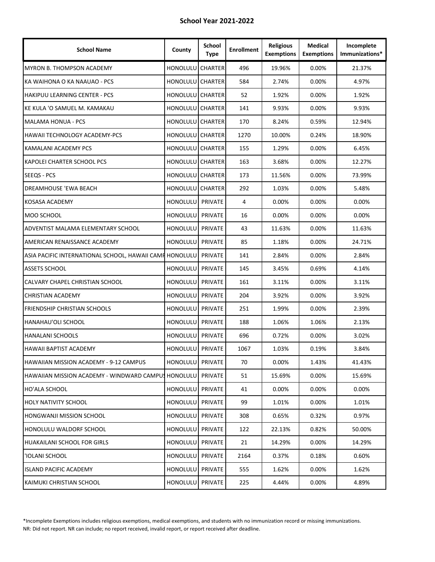| <b>School Name</b>                                      | County           | School<br><b>Type</b> | <b>Enrollment</b> | <b>Religious</b><br><b>Exemptions</b> | <b>Medical</b><br><b>Exemptions</b> | Incomplete<br>Immunizations* |
|---------------------------------------------------------|------------------|-----------------------|-------------------|---------------------------------------|-------------------------------------|------------------------------|
| MYRON B. THOMPSON ACADEMY                               | <b>HONOLULU</b>  | <b>CHARTER</b>        | 496               | 19.96%                                | 0.00%                               | 21.37%                       |
| KA WAIHONA O KA NAAUAO - PCS                            | HONOLULU CHARTER |                       | 584               | 2.74%                                 | 0.00%                               | 4.97%                        |
| HAKIPUU LEARNING CENTER - PCS                           | HONOLULU CHARTER |                       | 52                | 1.92%                                 | $0.00\%$                            | 1.92%                        |
| KE KULA 'O SAMUEL M. KAMAKAU                            | HONOLULU CHARTER |                       | 141               | 9.93%                                 | 0.00%                               | 9.93%                        |
| <b>MALAMA HONUA - PCS</b>                               | HONOLULU CHARTER |                       | 170               | 8.24%                                 | 0.59%                               | 12.94%                       |
| HAWAII TECHNOLOGY ACADEMY-PCS                           | HONOLULU CHARTER |                       | 1270              | 10.00%                                | 0.24%                               | 18.90%                       |
| KAMALANI ACADEMY PCS                                    | HONOLULU CHARTER |                       | 155               | 1.29%                                 | 0.00%                               | 6.45%                        |
| KAPOLEI CHARTER SCHOOL PCS                              | HONOLULU CHARTER |                       | 163               | 3.68%                                 | 0.00%                               | 12.27%                       |
| SEEQS - PCS                                             | HONOLULU CHARTER |                       | 173               | 11.56%                                | 0.00%                               | 73.99%                       |
| DREAMHOUSE 'EWA BEACH                                   | HONOLULU CHARTER |                       | 292               | 1.03%                                 | $0.00\%$                            | 5.48%                        |
| KOSASA ACADEMY                                          | <b>HONOLULU</b>  | PRIVATE               | 4                 | 0.00%                                 | 0.00%                               | $0.00\%$                     |
| MOO SCHOOL                                              | <b>HONOLULU</b>  | PRIVATE               | 16                | 0.00%                                 | 0.00%                               | 0.00%                        |
| ADVENTIST MALAMA ELEMENTARY SCHOOL                      | HONOLULU         | PRIVATE               | 43                | 11.63%                                | 0.00%                               | 11.63%                       |
| AMERICAN RENAISSANCE ACADEMY                            | <b>HONOLULU</b>  | PRIVATE               | 85                | 1.18%                                 | 0.00%                               | 24.71%                       |
| ASIA PACIFIC INTERNATIONAL SCHOOL, HAWAII CAMI HONOLULU |                  | PRIVATE               | 141               | 2.84%                                 | 0.00%                               | 2.84%                        |
| <b>ASSETS SCHOOL</b>                                    | HONOLULU         | PRIVATE               | 145               | 3.45%                                 | 0.69%                               | 4.14%                        |
| CALVARY CHAPEL CHRISTIAN SCHOOL                         | <b>HONOLULU</b>  | PRIVATE               | 161               | 3.11%                                 | $0.00\%$                            | 3.11%                        |
| <b>CHRISTIAN ACADEMY</b>                                | <b>HONOLULU</b>  | PRIVATE               | 204               | 3.92%                                 | 0.00%                               | 3.92%                        |
| FRIENDSHIP CHRISTIAN SCHOOLS                            | <b>HONOLULU</b>  | PRIVATE               | 251               | 1.99%                                 | 0.00%                               | 2.39%                        |
| HANAHAU'OLI SCHOOL                                      | HONOLULU         | PRIVATE               | 188               | 1.06%                                 | 1.06%                               | 2.13%                        |
| <b>HANALANI SCHOOLS</b>                                 | <b>HONOLULU</b>  | PRIVATE               | 696               | 0.72%                                 | 0.00%                               | 3.02%                        |
| HAWAII BAPTIST ACADEMY                                  | HONOLULU PRIVATE |                       | 1067              | 1.03%                                 | 0.19%                               | 3.84%                        |
| HAWAIIAN MISSION ACADEMY - 9-12 CAMPUS                  | HONOLULU PRIVATE |                       | 70                | 0.00%                                 | 1.43%                               | 41.43%                       |
| HAWAIIAN MISSION ACADEMY - WINDWARD CAMPUS HONOLULU     |                  | PRIVATE               | 51                | 15.69%                                | 0.00%                               | 15.69%                       |
| HO'ALA SCHOOL                                           | <b>HONOLULU</b>  | PRIVATE               | 41                | 0.00%                                 | 0.00%                               | $0.00\%$                     |
| <b>HOLY NATIVITY SCHOOL</b>                             | HONOLULU         | PRIVATE               | 99                | 1.01%                                 | $0.00\%$                            | 1.01%                        |
| <b>HONGWANJI MISSION SCHOOL</b>                         | HONOLULU         | PRIVATE               | 308               | 0.65%                                 | 0.32%                               | 0.97%                        |
| HONOLULU WALDORF SCHOOL                                 | <b>HONOLULU</b>  | PRIVATE               | 122               | 22.13%                                | 0.82%                               | 50.00%                       |
| <b>HUAKAILANI SCHOOL FOR GIRLS</b>                      | <b>HONOLULU</b>  | PRIVATE               | 21                | 14.29%                                | $0.00\%$                            | 14.29%                       |
| 'IOLANI SCHOOL                                          | HONOLULU PRIVATE |                       | 2164              | 0.37%                                 | 0.18%                               | 0.60%                        |
| <b>ISLAND PACIFIC ACADEMY</b>                           | <b>HONOLULU</b>  | PRIVATE               | 555               | 1.62%                                 | $0.00\%$                            | 1.62%                        |
| KAIMUKI CHRISTIAN SCHOOL                                | <b>HONOLULU</b>  | PRIVATE               | 225               | 4.44%                                 | 0.00%                               | 4.89%                        |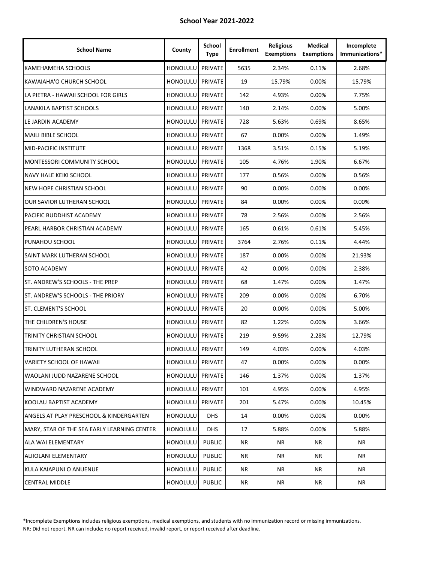| <b>School Name</b>                          | County           | School<br><b>Type</b> | <b>Enrollment</b> | <b>Religious</b><br><b>Exemptions</b> | <b>Medical</b><br><b>Exemptions</b> | Incomplete<br>Immunizations* |
|---------------------------------------------|------------------|-----------------------|-------------------|---------------------------------------|-------------------------------------|------------------------------|
| KAMEHAMEHA SCHOOLS                          | <b>HONOLULU</b>  | PRIVATE               | 5635              | 2.34%                                 | 0.11%                               | 2.68%                        |
| KAWAIAHA'O CHURCH SCHOOL                    | <b>HONOLULU</b>  | <b>PRIVATE</b>        | 19                | 15.79%                                | 0.00%                               | 15.79%                       |
| LA PIETRA - HAWAII SCHOOL FOR GIRLS         | <b>HONOLULU</b>  | PRIVATE               | 142               | 4.93%                                 | 0.00%                               | 7.75%                        |
| LANAKILA BAPTIST SCHOOLS                    | HONOLULU         | PRIVATE               | 140               | 2.14%                                 | 0.00%                               | 5.00%                        |
| LE JARDIN ACADEMY                           | HONOLULU         | PRIVATE               | 728               | 5.63%                                 | 0.69%                               | 8.65%                        |
| MAILI BIBLE SCHOOL                          | <b>HONOLULU</b>  | PRIVATE               | 67                | 0.00%                                 | 0.00%                               | 1.49%                        |
| MID-PACIFIC INSTITUTE                       | <b>HONOLULU</b>  | PRIVATE               | 1368              | 3.51%                                 | 0.15%                               | 5.19%                        |
| MONTESSORI COMMUNITY SCHOOL                 | <b>HONOLULU</b>  | PRIVATE               | 105               | 4.76%                                 | 1.90%                               | 6.67%                        |
| NAVY HALE KEIKI SCHOOL                      | <b>HONOLULU</b>  | PRIVATE               | 177               | 0.56%                                 | 0.00%                               | 0.56%                        |
| NEW HOPE CHRISTIAN SCHOOL                   | <b>HONOLULU</b>  | PRIVATE               | 90                | 0.00%                                 | 0.00%                               | 0.00%                        |
| OUR SAVIOR LUTHERAN SCHOOL                  | HONOLULU         | PRIVATE               | 84                | 0.00%                                 | 0.00%                               | $0.00\%$                     |
| PACIFIC BUDDHIST ACADEMY                    | HONOLULU         | PRIVATE               | 78                | 2.56%                                 | 0.00%                               | 2.56%                        |
| PEARL HARBOR CHRISTIAN ACADEMY              | <b>HONOLULU</b>  | PRIVATE               | 165               | 0.61%                                 | 0.61%                               | 5.45%                        |
| PUNAHOU SCHOOL                              | <b>HONOLULU</b>  | PRIVATE               | 3764              | 2.76%                                 | 0.11%                               | 4.44%                        |
| SAINT MARK LUTHERAN SCHOOL                  | <b>HONOLULU</b>  | PRIVATE               | 187               | 0.00%                                 | 0.00%                               | 21.93%                       |
| SOTO ACADEMY                                | <b>HONOLULU</b>  | PRIVATE               | 42                | 0.00%                                 | 0.00%                               | 2.38%                        |
| ST. ANDREW'S SCHOOLS - THE PREP             | HONOLULU         | PRIVATE               | 68                | 1.47%                                 | 0.00%                               | 1.47%                        |
| ST. ANDREW'S SCHOOLS - THE PRIORY           | HONOLULU         | PRIVATE               | 209               | 0.00%                                 | 0.00%                               | 6.70%                        |
| ST. CLEMENT'S SCHOOL                        | HONOLULU         | PRIVATE               | 20                | 0.00%                                 | 0.00%                               | 5.00%                        |
| THE CHILDREN'S HOUSE                        | <b>HONOLULU</b>  | PRIVATE               | 82                | 1.22%                                 | 0.00%                               | 3.66%                        |
| TRINITY CHRISTIAN SCHOOL                    | <b>HONOLULU</b>  | PRIVATE               | 219               | 9.59%                                 | 2.28%                               | 12.79%                       |
| TRINITY LUTHERAN SCHOOL                     | <b>HONOLULU</b>  | PRIVATE               | 149               | 4.03%                                 | 0.00%                               | 4.03%                        |
| VARIETY SCHOOL OF HAWAII                    | HONOLULU PRIVATE |                       | 47                | 0.00%                                 | 0.00%                               | 0.00%                        |
| WAOLANI JUDD NAZARENE SCHOOL                | <b>HONOLULU</b>  | PRIVATE               | 146               | 1.37%                                 | 0.00%                               | 1.37%                        |
| WINDWARD NAZARENE ACADEMY                   | HONOLULU         | PRIVATE               | 101               | 4.95%                                 | 0.00%                               | 4.95%                        |
| KOOLAU BAPTIST ACADEMY                      | HONOLULU         | PRIVATE               | 201               | 5.47%                                 | 0.00%                               | 10.45%                       |
| ANGELS AT PLAY PRESCHOOL & KINDERGARTEN     | HONOLULU         | <b>DHS</b>            | 14                | 0.00%                                 | 0.00%                               | 0.00%                        |
| MARY, STAR OF THE SEA EARLY LEARNING CENTER | <b>HONOLULU</b>  | <b>DHS</b>            | 17                | 5.88%                                 | $0.00\%$                            | 5.88%                        |
| ALA WAI ELEMENTARY                          | HONOLULU         | <b>PUBLIC</b>         | NR                | NR                                    | NR                                  | NR                           |
| ALIIOLANI ELEMENTARY                        | <b>HONOLULU</b>  | <b>PUBLIC</b>         | ΝR                | ΝR                                    | NR                                  | NR                           |
| KULA KAIAPUNI O ANUENUE                     | HONOLULU         | <b>PUBLIC</b>         | NR                | NR                                    | NR                                  | NR                           |
| <b>CENTRAL MIDDLE</b>                       | HONOLULU         | <b>PUBLIC</b>         | NR                | NR                                    | NR                                  | NR                           |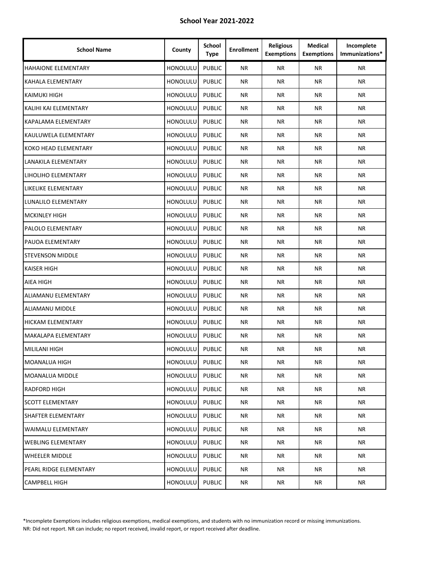| <b>School Name</b>         | County          | School<br><b>Type</b> | <b>Enrollment</b> | <b>Religious</b><br><b>Exemptions</b> | <b>Medical</b><br><b>Exemptions</b> | Incomplete<br>Immunizations* |
|----------------------------|-----------------|-----------------------|-------------------|---------------------------------------|-------------------------------------|------------------------------|
| <b>HAHAIONE ELEMENTARY</b> | <b>HONOLULU</b> | <b>PUBLIC</b>         | <b>NR</b>         | NR.                                   | <b>NR</b>                           | NR.                          |
| KAHALA ELEMENTARY          | <b>HONOLULU</b> | <b>PUBLIC</b>         | <b>NR</b>         | NR.                                   | ΝR                                  | <b>NR</b>                    |
| KAIMUKI HIGH               | HONOLULU        | <b>PUBLIC</b>         | <b>NR</b>         | <b>NR</b>                             | <b>NR</b>                           | <b>NR</b>                    |
| KALIHI KAI ELEMENTARY      | HONOLULU        | <b>PUBLIC</b>         | ΝR                | ΝR                                    | ΝR                                  | NR.                          |
| KAPALAMA ELEMENTARY        | HONOLULU        | <b>PUBLIC</b>         | <b>NR</b>         | <b>NR</b>                             | <b>NR</b>                           | <b>NR</b>                    |
| KAULUWELA ELEMENTARY       | HONOLULU        | <b>PUBLIC</b>         | <b>NR</b>         | <b>NR</b>                             | <b>NR</b>                           | <b>NR</b>                    |
| KOKO HEAD ELEMENTARY       | HONOLULU        | <b>PUBLIC</b>         | <b>NR</b>         | <b>NR</b>                             | ΝR                                  | <b>NR</b>                    |
| LANAKILA ELEMENTARY        | <b>HONOLULU</b> | <b>PUBLIC</b>         | ΝR                | NR.                                   | ΝR                                  | NR.                          |
| LIHOLIHO ELEMENTARY        | HONOLULU        | <b>PUBLIC</b>         | <b>NR</b>         | <b>NR</b>                             | ΝR                                  | <b>NR</b>                    |
| LIKELIKE ELEMENTARY        | <b>HONOLULU</b> | <b>PUBLIC</b>         | <b>NR</b>         | <b>NR</b>                             | <b>NR</b>                           | <b>NR</b>                    |
| LUNALILO ELEMENTARY        | HONOLULU        | <b>PUBLIC</b>         | ΝR                | ΝR                                    | <b>NR</b>                           | NR.                          |
| <b>MCKINLEY HIGH</b>       | HONOLULU        | <b>PUBLIC</b>         | <b>NR</b>         | <b>NR</b>                             | <b>NR</b>                           | <b>NR</b>                    |
| PALOLO ELEMENTARY          | HONOLULU        | <b>PUBLIC</b>         | <b>NR</b>         | <b>NR</b>                             | <b>NR</b>                           | <b>NR</b>                    |
| PAUOA ELEMENTARY           | HONOLULU        | <b>PUBLIC</b>         | <b>NR</b>         | <b>NR</b>                             | ΝR                                  | <b>NR</b>                    |
| <b>STEVENSON MIDDLE</b>    | <b>HONOLULU</b> | <b>PUBLIC</b>         | ΝR                | ΝR                                    | ΝR                                  | NR.                          |
| KAISER HIGH                | HONOLULU        | <b>PUBLIC</b>         | <b>NR</b>         | <b>NR</b>                             | ΝR                                  | <b>NR</b>                    |
| AIEA HIGH                  | HONOLULU        | <b>PUBLIC</b>         | <b>NR</b>         | <b>NR</b>                             | <b>NR</b>                           | <b>NR</b>                    |
| ALIAMANU ELEMENTARY        | HONOLULU        | <b>PUBLIC</b>         | ΝR                | ΝR                                    | ΝR                                  | NR.                          |
| ALIAMANU MIDDLE            | HONOLULU        | <b>PUBLIC</b>         | <b>NR</b>         | <b>NR</b>                             | <b>NR</b>                           | <b>NR</b>                    |
| <b>HICKAM ELEMENTARY</b>   | HONOLULU        | <b>PUBLIC</b>         | <b>NR</b>         | <b>NR</b>                             | <b>NR</b>                           | <b>NR</b>                    |
| MAKALAPA ELEMENTARY        | HONOLULU        | <b>PUBLIC</b>         | <b>NR</b>         | <b>NR</b>                             | ΝR                                  | <b>NR</b>                    |
| <b>MILILANI HIGH</b>       | <b>HONOLULU</b> | <b>PUBLIC</b>         | ΝR                | ΝR                                    | <b>NR</b>                           | NR.                          |
| <b>MOANALUA HIGH</b>       | HONOLULU        | <b>PUBLIC</b>         | NR                | <b>NR</b>                             | ΝR                                  | <b>NR</b>                    |
| <b>MOANALUA MIDDLE</b>     | HONOLULU        | <b>PUBLIC</b>         | NR                | NR                                    | NR                                  | NR                           |
| RADFORD HIGH               | HONOLULU        | <b>PUBLIC</b>         | ΝR                | NR                                    | ΝR                                  | NR                           |
| <b>SCOTT ELEMENTARY</b>    | HONOLULU        | <b>PUBLIC</b>         | NR                | ΝR                                    | NR                                  | <b>NR</b>                    |
| SHAFTER ELEMENTARY         | HONOLULU        | <b>PUBLIC</b>         | <b>NR</b>         | <b>NR</b>                             | NR                                  | <b>NR</b>                    |
| <b>WAIMALU ELEMENTARY</b>  | HONOLULU        | <b>PUBLIC</b>         | NR                | <b>NR</b>                             | NR                                  | <b>NR</b>                    |
| <b>WEBLING ELEMENTARY</b>  | <b>HONOLULU</b> | <b>PUBLIC</b>         | NR                | NR                                    | NR                                  | NR                           |
| <b>WHEELER MIDDLE</b>      | <b>HONOLULU</b> | <b>PUBLIC</b>         | NR                | NR                                    | ΝR                                  | <b>NR</b>                    |
| PEARL RIDGE ELEMENTARY     | HONOLULU        | <b>PUBLIC</b>         | NR                | NR                                    | NR                                  | NR                           |
| <b>CAMPBELL HIGH</b>       | HONOLULU        | <b>PUBLIC</b>         | ΝR                | NR                                    | NR                                  | <b>NR</b>                    |